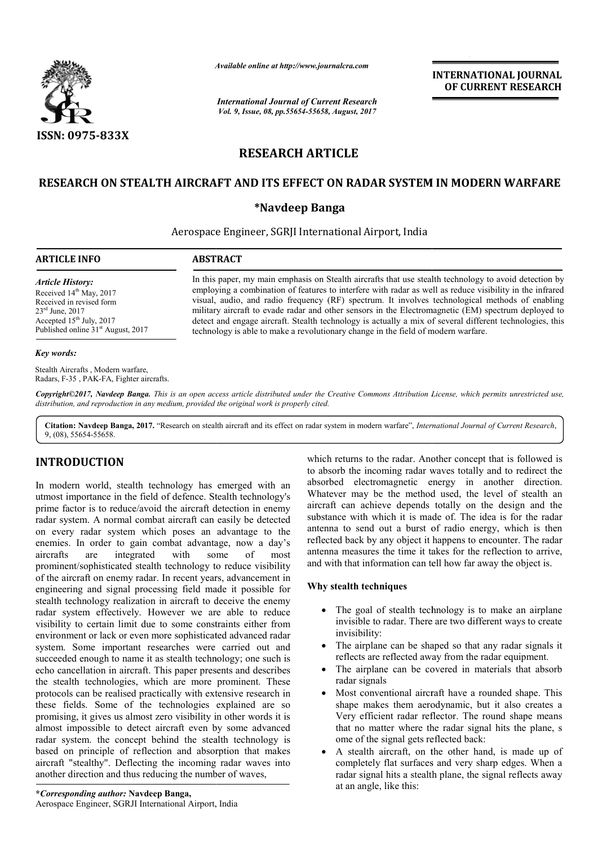

*Available online at http://www.journal http://www.journalcra.com*

*International Journal of Current Research Vol. 9, Issue, 08, pp.55654-55658, August, 2017* **INTERNATIONAL JOURNAL OF CURRENT RESEARCH** 

# **RESEARCH ARTICLE**

## **RESEARCH ON STEALTH AIRCRAFT AND ITS EFFECT ON RADAR SYSTEM IN MODERN WARFARE ON STEALTH ON RADAR**

## **\*Navdeep Banga**

## Aerospace Engineer Engineer, SGRJI International Airport, India

### **ARTICLE INFO ABSTRACT**

*Article History:* Received 14<sup>th</sup> May, 2017 Received in revised form 23rd June, 2017 Accepted 15<sup>th</sup> July, 2017 Published online 31<sup>st</sup> August, 2017

#### *Key words:*

Stealth Aircrafts , Modern warfare, Radars, F-35 , PAK-FA, Fighter aircrafts.

*Copyright©2017, Navdeep Banga. This is an open access article distributed under the Creative Commons Att Attribution License, which ribution License, permits unrestricted use, distribution, and reproduction in any medium, provided the original work is properly cited.*

Citation: Navdeep Banga, 2017. "Research on stealth aircraft and its effect on radar system in modern warfare", *International Journal of Current Research*, 9, (08), 55654-55658.

## **INTRODUCTION**

In modern world, stealth technology has emerged with an utmost importance in the field of defence. Stealth technology's prime factor is to reduce/avoid the aircraft detection in enemy radar system. A normal combat aircraft can easily be detected on every radar system which poses an advantage to the enemies. In order to gain combat advantage, now a day's aircrafts are integrated with some of most prominent/sophisticated stealth technology to reduce visibility of the aircraft on enemy radar. In recent years, engineering and signal processing field made it possible for stealth technology realization in aircraft to deceive the enemy radar system effectively. However we are able to reduce visibility to certain limit due to some constraints either f from environment or lack or even more sophisticated advanced radar system. Some important researches were carried out and succeeded enough to name it as stealth technology; one such is echo cancellation in aircraft. This paper presents and describes the stealth technologies, which are more prominent. These protocols can be realised practically with extensive research in these fields. Some of the technologies explained are so promising, it gives us almost zero visibility in other words it is almost impossible to detect aircraft even by some advanced radar system. the concept behind the stealth technology is based on principle of reflection and absorption that makes aircraft "stealthy". Deflecting the incoming radar waves into another direction and thus reducing the number of waves, adar system which poses an advantage to the<br>
order to gain combat advantage, now a day's<br>
are integrated with some of most<br>
ophisticated stealth technology to reduce visibility<br>
fit on enemy radar. In recent years, advance **ODUCTION**<br>
such that the studient external to absorb the incoming radar waves totally and to redirect the<br>
importance in the field of detecta estimate in the absorbed electromagnetic energy in another direction,<br>
importan

to absorb the incoming radar waves totally and to redirect the absorbed electromagnetic energy in another direction. Whatever may be the method used, the level of stealth an aircraft can achieve depends totally on the design and the substance with which it is made of. The idea is for the radar which returns to the radar. Another concept that is followed is<br>to absorb the incoming radar waves totally and to redirect the<br>absorbed electromagnetic energy in another direction.<br>Whatever may be the method used, the leve reflected back by any object it happens to encounter. The radar antenna measures the time it takes for the reflection to arrive, and with that information can tell how far away the object is. reflected back by any object it happens to encounter. The radar antenna measures the time it takes for the reflection to arrive, and with that information can tell how far away the object is.<br> **Why stealth techniques**<br>
• T **INTERNATIONAL JOURNAL CONVERT (CONVERT) CLEVAL CONVERT ASSEMIGE SHAPE SHAPE SHAPE SHAPE SHAPE SHAPE SHAPE SHAPE SHAPE SHAPE SHAPE SHAPE SHAPE SHAPE SHAPE SHAPE SHAPE SHAPE SHAPE SHAPE SHAPE SHAPE SHAPE SHAPE SHAPE SHAP** 

## **Why stealth techniques**

In this paper, my main emphasis on Stealth aircrafts that use stealth technology to avoid detection by employing a combination of features to interfere with radar as well as reduce visibility in the infrared visual, audio, and radio frequency (RF) spectrum. I It involves technological methods of enabling military aircraft to evade radar and other sensors in the Electromagnetic (EM) spectrum deployed to detect and engage aircraft. Stealth technology is actually a mix of several different technologies, this

techno technology is able to make a revolutionary change in the field of modern warfare.

In this paper, my main emphasis on Stealth aircrafts that use stealth technology to avoiemploying a combination of features to interfere with radar as well as reduce visibility visual, audio, and radio frequency (RF) spect

- The goal of stealth technology is to make an airplane invisible to radar. There are two different ways to create invisibility:
- The airplane can be shaped so that any radar signals it reflects are reflected away from the radar equipment.
- The airplane can be covered in materials that absorb radar signals
- Most conventional aircraft have a rounded shape. This shape makes them aerodynamic, but it also creates a Very efficient radar reflector. The round shape means that no matter where the radar signal hits the plane, s ome of the signal gets reflected back:
- A stealth aircraft, on the other hand, is made up of completely flat surfaces and very sharp edges. When a radar signal hits a stealth plane, the signal reflects away at an angle, like this: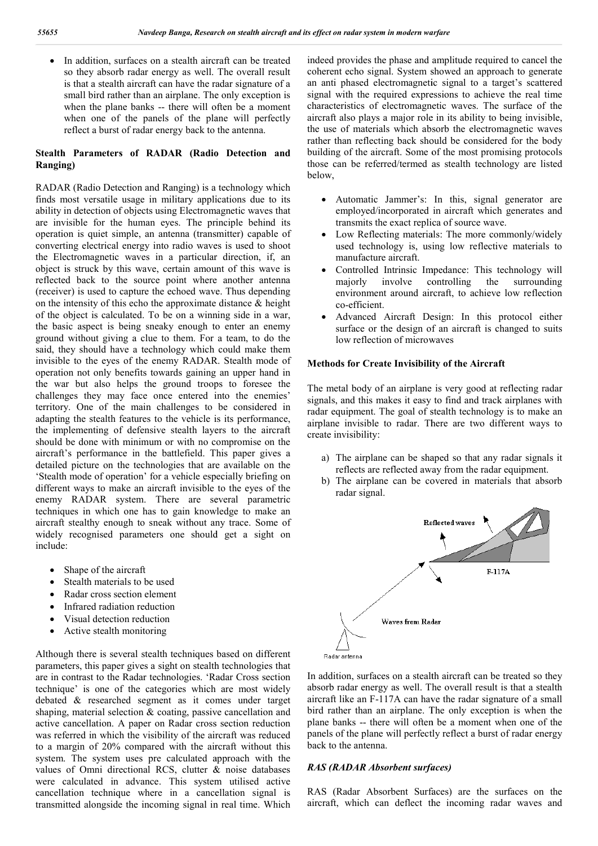• In addition, surfaces on a stealth aircraft can be treated so they absorb radar energy as well. The overall result is that a stealth aircraft can have the radar signature of a small bird rather than an airplane. The only exception is when the plane banks -- there will often be a moment when one of the panels of the plane will perfectly reflect a burst of radar energy back to the antenna.

#### **Stealth Parameters of RADAR (Radio Detection and Ranging)**

RADAR (Radio Detection and Ranging) is a technology which finds most versatile usage in military applications due to its ability in detection of objects using Electromagnetic waves that are invisible for the human eyes. The principle behind its operation is quiet simple, an antenna (transmitter) capable of converting electrical energy into radio waves is used to shoot the Electromagnetic waves in a particular direction, if, an object is struck by this wave, certain amount of this wave is reflected back to the source point where another antenna (receiver) is used to capture the echoed wave. Thus depending on the intensity of this echo the approximate distance  $\&$  height of the object is calculated. To be on a winning side in a war, the basic aspect is being sneaky enough to enter an enemy ground without giving a clue to them. For a team, to do the said, they should have a technology which could make them invisible to the eyes of the enemy RADAR. Stealth mode of operation not only benefits towards gaining an uppe the war but also helps the ground troops to foresee the challenges they may face once entered into the enemies' territory. One of the main challenges to be considered in adapting the stealth features to the vehicle is its performance, the implementing of defensive stealth layers to the aircraft should be done with minimum or with no compromise on the aircraft's performance in the battlefield. This paper gives a detailed picture on the technologies that are available on the 'Stealth mode of operation' for a vehicle especially briefing on different ways to make an aircraft invisible to the eyes of the enemy RADAR system. There are several parametric techniques in which one has to gain knowledge to make an aircraft stealthy enough to sneak without any trace. Some of widely recognised parameters one should get a sight on include: In one of the panels of the plane will perfectly<br>ect a burst of radar energy back to the antenna.<br> **arameters** of **RADAR** (**Radio Detection and**<br> **Aadio Detection and Ranging)** is a technology which<br>
versatile usage in mi nting of defen<br>ne with minim<br>formance in tl<br>ure on the tech<br>e of operation' be even down and material control on the formula in the material particular control on the material control on the material control of the material control of the material control of the material control of the material c

- Shape of the aircraft
- Stealth materials to be used
- Radar cross section element
- Infrared radiation reduction
- Visual detection reduction
- Active stealth monitoring

Although there is several stealth techniques based on different parameters, this paper gives a sight on stealth technologies that are in contrast to the Radar technologies. 'Radar Cross section technique' is one of the categories which are most widely debated & researched segment as it comes under target shaping, material selection & coating, passive cancellation and active cancellation. A paper on Radar cross section reduction was referred in which the visibility of the aircraft was reduced to a margin of 20% compared with the aircraft without this system. The system uses pre calculated approach with the values of Omni directional RCS, clutter & noise databases were calculated in advance. This system utilised active cancellation technique where in a cancellation transmitted alongside the incoming signal in real time. Which gh there is several stealth techniques based on different<br>ters, this paper gives a sight on stealth technologies that<br>contrast to the Radar technologies. 'Radar Cross section<br>que' is one of the categories which are most w indeed provides the phase and amplitude required to cancel the coherent echo signal. System showed an approach to generate an anti phased electromagnetic signal to a target's scattered signal with the required expressions to achieve the real time characteristics of electromagnetic waves. The surface of the aircraft also plays a major role in its ability to being invisible, the use of materials which absorb the electromagnetic waves rather than reflecting back should be considered for the body building of the aircraft. Some of the most promising protocols those can be referred/termed as stealth technology are listed below, end provides the phase and amplitude required to cancel the<br>servent echo signal. System showed an approach to generate<br>antil phased electromagnetic signal to a target's scattered<br>all with the required expressions to achiev

- Automatic Jammer's: In this, signal generator are employed/incorporated in aircraft which generates and transmits the exact replica of source wave.
- Low Reflecting materials: The more commonly/widely used technology is, using low reflective materials to manufacture aircraft.
- Controlled Intrinsic Impedance: This technology will majorly involve controlling the surrounding environment around aircraft, to achieve low reflection co-efficient.
- Advanced Aircraft Design: In this protocol either surface or the design of an aircraft is changed to suits low reflection of microwaves

#### **Methods for Create Invisibility of the Aircraft**

The metal body of an airplane is very good at reflecting radar signals, and this makes it easy to find and track airplanes with radar equipment. The goal of stealth technology is to make an airplane invisible to radar. There are two different ways to create invisibility:

- a) The airplane can be shaped so that any radar signals it reflects are reflected away from the radar equipment.
- b) The airplane can be covered in materials that absorb radar signal.



In addition, surfaces on a stealth aircraft can be treated so they absorb radar energy as well. The overall result is that a stealth aircraft like an F-117A can have the radar signature of a small bird rather than an airplane. The only exception is when the plane banks -- there will often be a moment when one of the panels of the plane will perfectly reflect a burst of radar energy back to the antenna. energy as well. The overall result is that a stealth<br>in F-117A can have the radar signature of a small<br>iairplane. The only exception is when the<br>-- there will often be a moment when one of the

#### *RAS (RADAR Absorbent surfaces surfaces)*

RAS (Radar Absorbent Surfaces) are the surfaces on the aircraft, which can deflect the incoming radar waves and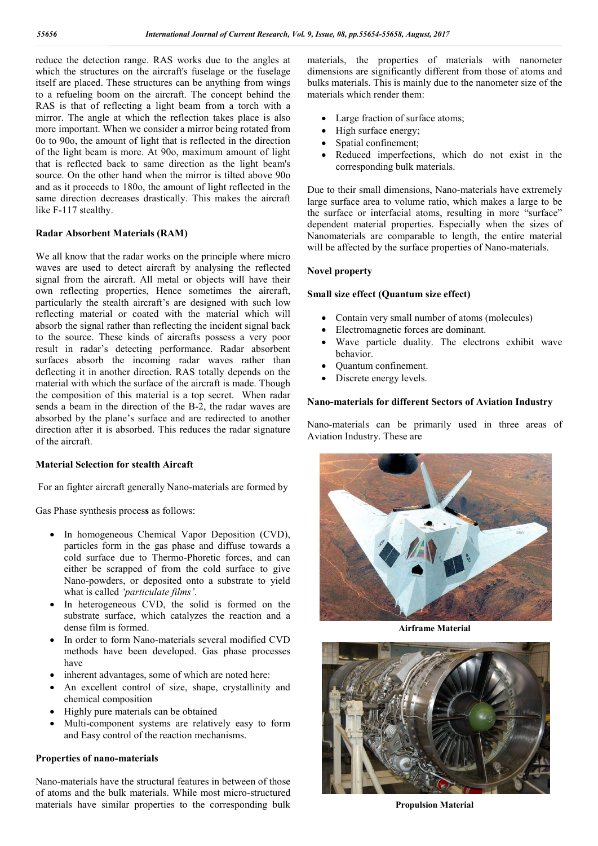reduce the detection range. RAS works due to the angles at which the structures on the aircraft's fuselage or the fuselage itself are placed. These structures can be anything from wings to a refueling boom on the aircraft. The concept behind the RAS is that of reflecting a light beam from a torch with a mirror. The angle at which the reflection takes place is also more important. When we consider a mirror being rotated from 0o to 90o, the amount of light that is reflected in the direction of the light beam is more. At 90o, maximum amount of light that is reflected back to same direction as the light beam's source. On the other hand when the mirror is tilted above 90o and as it proceeds to 180o, the amount of light reflected in the same direction decreases drastically. This makes the aircraft like F-117 stealthy.

#### **Radar Absorbent Materials (RAM)**

We all know that the radar works on the principle where micro waves are used to detect aircraft by analysing the reflected signal from the aircraft. All metal or objects will have their own reflecting properties, Hence sometimes the aircraft, particularly the stealth aircraft's are designed with such low reflecting material or coated with the material which will absorb the signal rather than reflecting the incident signal back to the source. These kinds of aircrafts possess a very poor result in radar's detecting performance. Radar absorbent surfaces absorb the incoming radar waves rather than deflecting it in another direction. RAS totally depends on the material with which the surface of the aircraft is made. Though the composition of this material is a top secret. When radar sends a beam in the direction of the B-2, the radar waves are absorbed by the plane's surface and are redirected to another direction after it is absorbed. This reduces the radar signature of the aircraft.

#### **Material Selection for stealth Aircaft**

For an fighter aircraft generally Nano-materials are formed by

Gas Phase synthesis proces**s** as follows:

- In homogeneous Chemical Vapor Deposition (CVD), particles form in the gas phase and diffuse towards a cold surface due to Thermo-Phoretic forces, and can either be scrapped of from the cold surface to give Nano-powders, or deposited onto a substrate to yield what is called *'particulate films'*.
- In heterogeneous CVD, the solid is formed on the substrate surface, which catalyzes the reaction and a dense film is formed.
- In order to form Nano-materials several modified CVD methods have been developed. Gas phase processes have
- inherent advantages, some of which are noted here:
- An excellent control of size, shape, crystallinity and chemical composition
- Highly pure materials can be obtained
- Multi-component systems are relatively easy to form and Easy control of the reaction mechanisms.

#### **Properties of nano-materials**

Nano-materials have the structural features in between of those of atoms and the bulk materials. While most micro-structured materials have similar properties to the corresponding bulk materials, the properties of materials with nanometer dimensions are significantly different from those of atoms and bulks materials. This is mainly due to the nanometer size of the materials which render them:

- Large fraction of surface atoms;
- High surface energy;
- Spatial confinement;
- Reduced imperfections, which do not exist in the corresponding bulk materials.

Due to their small dimensions, Nano-materials have extremely large surface area to volume ratio, which makes a large to be the surface or interfacial atoms, resulting in more "surface" dependent material properties. Especially when the sizes of Nanomaterials are comparable to length, the entire material will be affected by the surface properties of Nano-materials.

#### **Novel property**

### **Small size effect (Quantum size effect)**

- Contain very small number of atoms (molecules)
- Electromagnetic forces are dominant.
- Wave particle duality. The electrons exhibit wave behavior.
- Quantum confinement.
- Discrete energy levels.

### **Nano-materials for different Sectors of Aviation Industry**

Nano-materials can be primarily used in three areas of Aviation Industry. These are



**Airframe Material**



**Propulsion Material**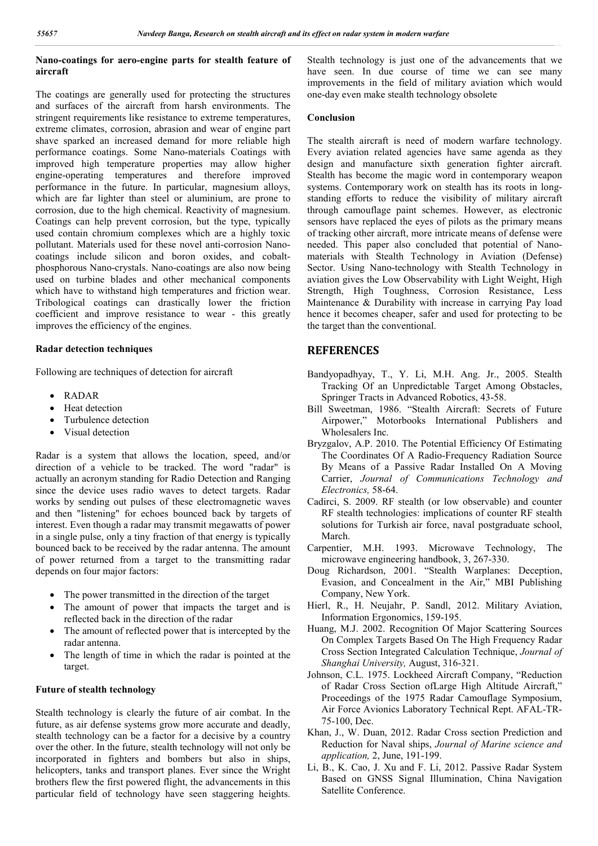## **Nano-coatings for aero***-***engine parts for stealth feature of aircraft**

The coatings are generally used for protecting the structures and surfaces of the aircraft from harsh environments. The stringent requirements like resistance to extreme temperatures, extreme climates, corrosion, abrasion and wear of engine part shave sparked an increased demand for more reliable high performance coatings. Some Nano-materials Coatings with improved high temperature properties may allow higher engine-operating temperatures and therefore improved performance in the future. In particular, magnesium alloys, which are far lighter than steel or aluminium, are prone to corrosion, due to the high chemical. Reactivity of magnesium. Coatings can help prevent corrosion, but the type, typically used contain chromium complexes which are a highly toxic pollutant. Materials used for these novel anti-corrosion Nanocoatings include silicon and boron oxides, and cobaltphosphorous Nano-crystals. Nano-coatings are also now being used on turbine blades and other mechanical components which have to withstand high temperatures and friction wear. Tribological coatings can drastically lower the friction coefficient and improve resistance to wear - this greatly improves the efficiency of the engines.

#### **Radar detection techniques**

Following are techniques of detection for aircraft

- RADAR
- Heat detection
- Turbulence detection
- Visual detection

Radar is a system that allows the location, speed, and/or direction of a vehicle to be tracked. The word "radar" is actually an acronym standing for Radio Detection and Ranging since the device uses radio waves to detect targets. Radar works by sending out pulses of these electromagnetic waves and then "listening" for echoes bounced back by targets of interest. Even though a radar may transmit megawatts of power in a single pulse, only a tiny fraction of that energy is typically bounced back to be received by the radar antenna. The amount of power returned from a target to the transmitting radar depends on four major factors:

- The power transmitted in the direction of the target
- The amount of power that impacts the target and is reflected back in the direction of the radar
- The amount of reflected power that is intercepted by the radar antenna.
- The length of time in which the radar is pointed at the target.

#### **Future of stealth technology**

Stealth technology is clearly the future of air combat. In the future, as air defense systems grow more accurate and deadly, stealth technology can be a factor for a decisive by a country over the other. In the future, stealth technology will not only be incorporated in fighters and bombers but also in ships, helicopters, tanks and transport planes. Ever since the Wright brothers flew the first powered flight, the advancements in this particular field of technology have seen staggering heights.

Stealth technology is just one of the advancements that we have seen. In due course of time we can see many improvements in the field of military aviation which would one-day even make stealth technology obsolete

#### **Conclusion**

The stealth aircraft is need of modern warfare technology. Every aviation related agencies have same agenda as they design and manufacture sixth generation fighter aircraft. Stealth has become the magic word in contemporary weapon systems. Contemporary work on stealth has its roots in longstanding efforts to reduce the visibility of military aircraft through camouflage paint schemes. However, as electronic sensors have replaced the eyes of pilots as the primary means of tracking other aircraft, more intricate means of defense were needed. This paper also concluded that potential of Nanomaterials with Stealth Technology in Aviation (Defense) Sector. Using Nano-technology with Stealth Technology in aviation gives the Low Observability with Light Weight, High Strength, High Toughness, Corrosion Resistance, Less Maintenance & Durability with increase in carrying Pay load hence it becomes cheaper, safer and used for protecting to be the target than the conventional.

## **REFERENCES**

- Bandyopadhyay, T., Y. Li, M.H. Ang. Jr., 2005. Stealth Tracking Of an Unpredictable Target Among Obstacles, Springer Tracts in Advanced Robotics, 43-58.
- Bill Sweetman, 1986. "Stealth Aircraft: Secrets of Future Airpower," Motorbooks International Publishers and Wholesalers Inc.
- Bryzgalov, A.P. 2010. The Potential Efficiency Of Estimating The Coordinates Of A Radio-Frequency Radiation Source By Means of a Passive Radar Installed On A Moving Carrier, *Journal of Communications Technology and Electronics,* 58-64.
- Cadirci, S. 2009. RF stealth (or low observable) and counter RF stealth technologies: implications of counter RF stealth solutions for Turkish air force, naval postgraduate school, March.
- Carpentier, M.H. 1993. Microwave Technology, The microwave engineering handbook, 3, 267-330.
- Doug Richardson, 2001. "Stealth Warplanes: Deception, Evasion, and Concealment in the Air," MBI Publishing Company, New York.
- Hierl, R., H. Neujahr, P. Sandl, 2012. Military Aviation, Information Ergonomics, 159-195.
- Huang, M.J. 2002. Recognition Of Major Scattering Sources On Complex Targets Based On The High Frequency Radar Cross Section Integrated Calculation Technique, *Journal of Shanghai University,* August, 316-321.
- Johnson, C.L. 1975. Lockheed Aircraft Company, "Reduction of Radar Cross Section ofLarge High Altitude Aircraft," Proceedings of the 1975 Radar Camouflage Symposium, Air Force Avionics Laboratory Technical Rept. AFAL-TR-75-100, Dec.
- Khan, J., W. Duan, 2012. Radar Cross section Prediction and Reduction for Naval ships, *Journal of Marine science and application,* 2, June, 191-199.
- Li, B., K. Cao, J. Xu and F. Li, 2012. Passive Radar System Based on GNSS Signal Illumination, China Navigation Satellite Conference.